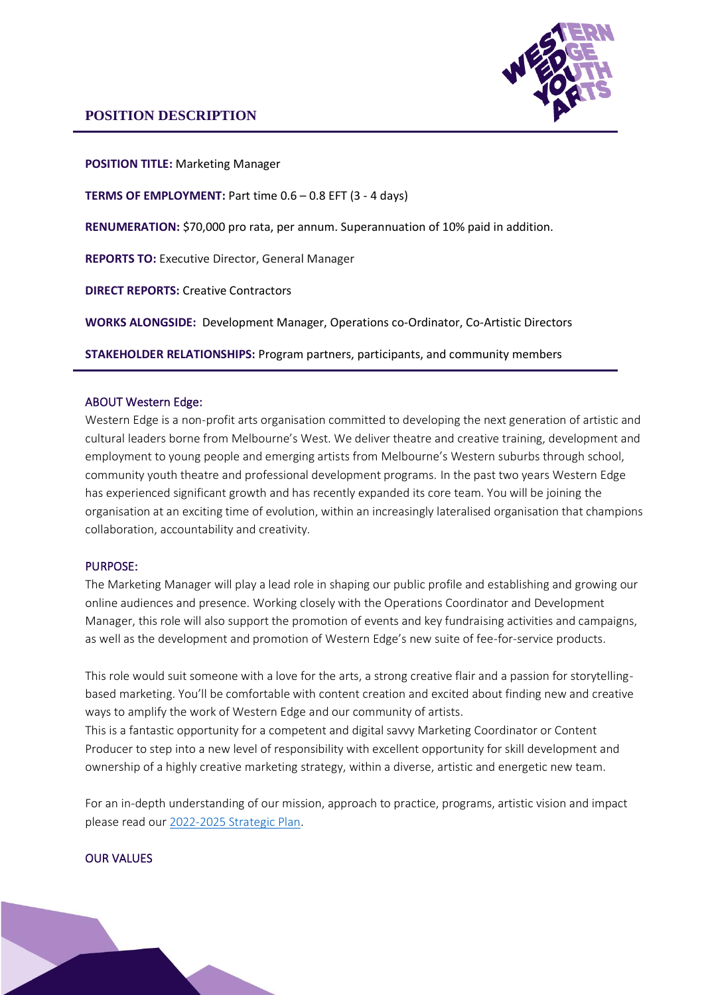

**POSITION TITLE:** Marketing Manager

**TERMS OF EMPLOYMENT:** Part time 0.6 – 0.8 EFT (3 - 4 days)

**RENUMERATION:** \$70,000 pro rata, per annum. Superannuation of 10% paid in addition.

**REPORTS TO:** Executive Director, General Manager

**DIRECT REPORTS:** Creative Contractors

**WORKS ALONGSIDE:** Development Manager, Operations co-Ordinator, Co-Artistic Directors

**STAKEHOLDER RELATIONSHIPS:** Program partners, participants, and community members

### ABOUT Western Edge:

Western Edge is a non-profit arts organisation committed to developing the next generation of artistic and cultural leaders borne from Melbourne's West. We deliver theatre and creative training, development and employment to young people and emerging artists from Melbourne's Western suburbs through school, community youth theatre and professional development programs. In the past two years Western Edge has experienced significant growth and has recently expanded its core team. You will be joining the organisation at an exciting time of evolution, within an increasingly lateralised organisation that champions collaboration, accountability and creativity.

#### PURPOSE:

The Marketing Manager will play a lead role in shaping our public profile and establishing and growing our online audiences and presence. Working closely with the Operations Coordinator and Development Manager, this role will also support the promotion of events and key fundraising activities and campaigns, as well as the development and promotion of Western Edge's new suite of fee-for-service products.

This role would suit someone with a love for the arts, a strong creative flair and a passion for storytellingbased marketing. You'll be comfortable with content creation and excited about finding new and creative ways to amplify the work of Western Edge and our community of artists.

This is a fantastic opportunity for a competent and digital savvy Marketing Coordinator or Content Producer to step into a new level of responsibility with excellent opportunity for skill development and ownership of a highly creative marketing strategy, within a diverse, artistic and energetic new team.

For an in-depth understanding of our mission, approach to practice, programs, artistic vision and impact please read our [2022-2025 Strategic Plan.](https://westernedge.org.au/wp-content/uploads/2021/09/WEYA-Strategic-Plan-2022-2025.pdf)

### OUR VALUES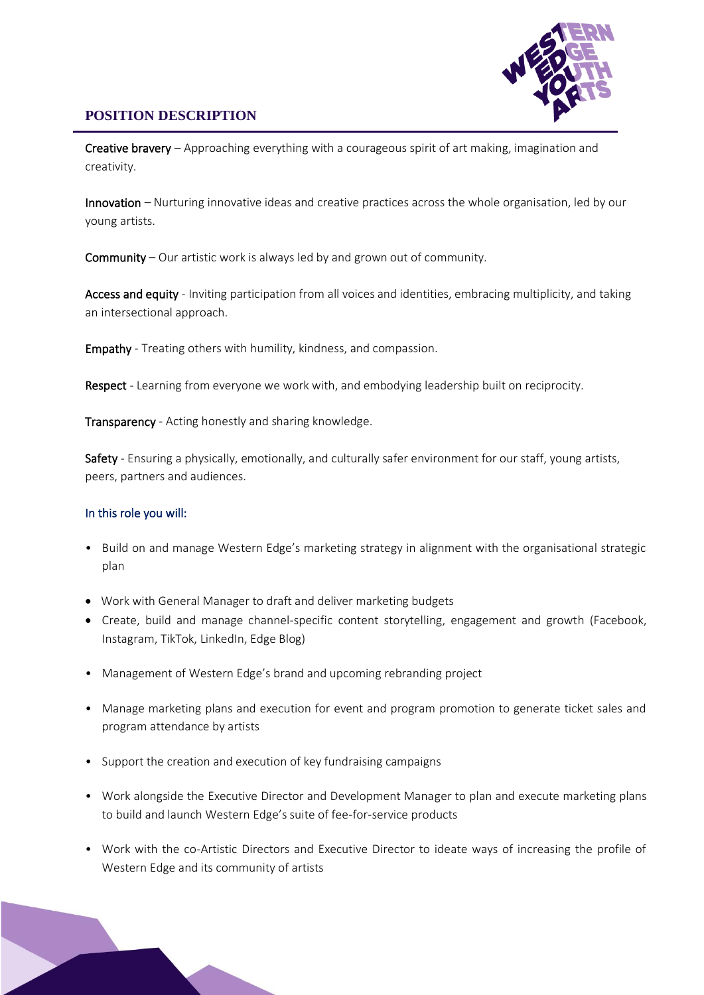

Creative bravery - Approaching everything with a courageous spirit of art making, imagination and creativity.

Innovation – Nurturing innovative ideas and creative practices across the whole organisation, led by our young artists.

Community – Our artistic work is always led by and grown out of community.

Access and equity - Inviting participation from all voices and identities, embracing multiplicity, and taking an intersectional approach.

Empathy - Treating others with humility, kindness, and compassion.

Respect - Learning from everyone we work with, and embodying leadership built on reciprocity.

Transparency - Acting honestly and sharing knowledge.

Safety - Ensuring a physically, emotionally, and culturally safer environment for our staff, young artists, peers, partners and audiences.

#### In this role you will:

- Build on and manage Western Edge's marketing strategy in alignment with the organisational strategic plan
- Work with General Manager to draft and deliver marketing budgets
- Create, build and manage channel-specific content storytelling, engagement and growth (Facebook, Instagram, TikTok, LinkedIn, Edge Blog)
- Management of Western Edge's brand and upcoming rebranding project
- Manage marketing plans and execution for event and program promotion to generate ticket sales and program attendance by artists
- Support the creation and execution of key fundraising campaigns
- Work alongside the Executive Director and Development Manager to plan and execute marketing plans to build and launch Western Edge's suite of fee-for-service products
- Work with the co-Artistic Directors and Executive Director to ideate ways of increasing the profile of Western Edge and its community of artists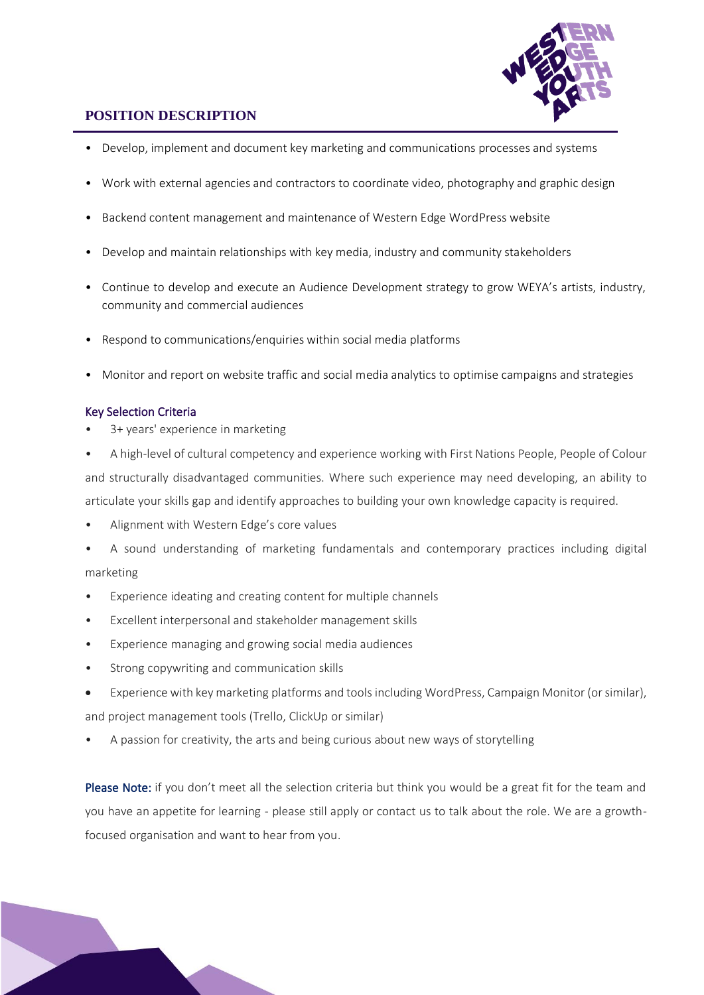

- Develop, implement and document key marketing and communications processes and systems
- Work with external agencies and contractors to coordinate video, photography and graphic design
- Backend content management and maintenance of Western Edge WordPress website
- Develop and maintain relationships with key media, industry and community stakeholders
- Continue to develop and execute an Audience Development strategy to grow WEYA's artists, industry, community and commercial audiences
- Respond to communications/enquiries within social media platforms
- Monitor and report on website traffic and social media analytics to optimise campaigns and strategies

#### Key Selection Criteria

- 3+ years' experience in marketing
- A high-level of cultural competency and experience working with First Nations People, People of Colour and structurally disadvantaged communities. Where such experience may need developing, an ability to articulate your skills gap and identify approaches to building your own knowledge capacity is required.
- Alignment with Western Edge's core values
- A sound understanding of marketing fundamentals and contemporary practices including digital marketing
- Experience ideating and creating content for multiple channels
- Excellent interpersonal and stakeholder management skills
- Experience managing and growing social media audiences
- Strong copywriting and communication skills
- Experience with key marketing platforms and tools including WordPress, Campaign Monitor (orsimilar), and project management tools (Trello, ClickUp or similar)
- A passion for creativity, the arts and being curious about new ways of storytelling

Please Note: if you don't meet all the selection criteria but think you would be a great fit for the team and you have an appetite for learning - please still apply or contact us to talk about the role. We are a growthfocused organisation and want to hear from you.